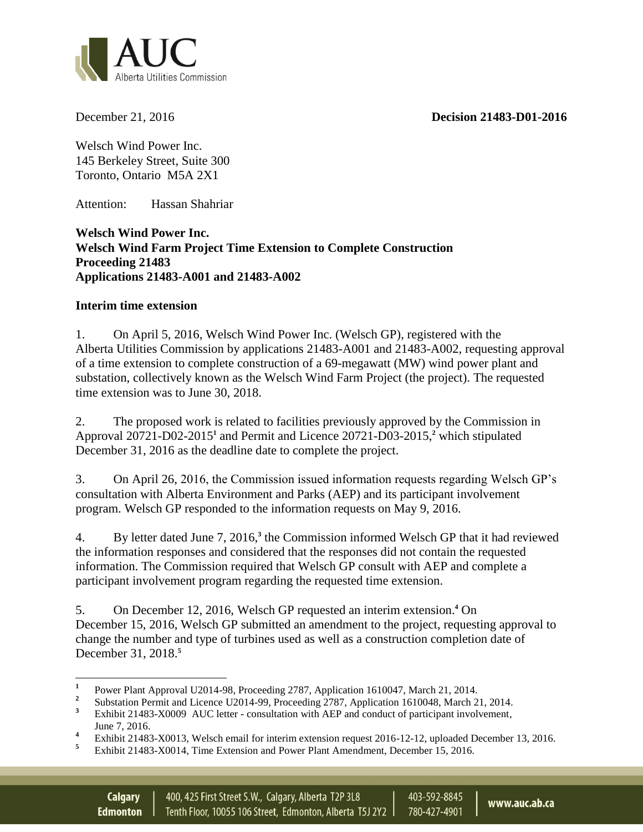**December 21, 2016 Decision 21483-D01-2016** 



Welsch Wind Power Inc. 145 Berkeley Street, Suite 300 Toronto, Ontario M5A 2X1

Attention: Hassan Shahriar

**Welsch Wind Power Inc. Welsch Wind Farm Project Time Extension to Complete Construction Proceeding 21483 Applications 21483-A001 and 21483-A002**

## **Interim time extension**

1. On April 5, 2016, Welsch Wind Power Inc. (Welsch GP), registered with the Alberta Utilities Commission by applications 21483-A001 and 21483-A002, requesting approval of a time extension to complete construction of a 69-megawatt (MW) wind power plant and substation, collectively known as the Welsch Wind Farm Project (the project). The requested time extension was to June 30, 2018.

2. The proposed work is related to facilities previously approved by the Commission in Approval 20721-D02-2015**<sup>1</sup>** and Permit and Licence 20721-D03-2015,**<sup>2</sup>** which stipulated December 31, 2016 as the deadline date to complete the project.

3. On April 26, 2016, the Commission issued information requests regarding Welsch GP's consultation with Alberta Environment and Parks (AEP) and its participant involvement program. Welsch GP responded to the information requests on May 9, 2016.

4. By letter dated June 7, 2016,**<sup>3</sup>** the Commission informed Welsch GP that it had reviewed the information responses and considered that the responses did not contain the requested information. The Commission required that Welsch GP consult with AEP and complete a participant involvement program regarding the requested time extension.

5. On December 12, 2016, Welsch GP requested an interim extension.**<sup>4</sup>** On December 15, 2016, Welsch GP submitted an amendment to the project, requesting approval to change the number and type of turbines used as well as a construction completion date of December 31, 2018.**<sup>5</sup>**

403-592-8845

780-427-4901

 **1** Power Plant Approval U2014-98, Proceeding 2787, Application 1610047, March 21, 2014.

**<sup>2</sup>** Substation Permit and Licence U2014-99, Proceeding 2787, Application 1610048, March 21, 2014.

<sup>&</sup>lt;sup>3</sup> Exhibit 21483-X0009 AUC letter - consultation with AEP and conduct of participant involvement, June 7, 2016.

<sup>&</sup>lt;sup>4</sup> Exhibit 21483-X0013, Welsch email for interim extension request 2016-12-12, uploaded December 13, 2016.

**<sup>5</sup>** Exhibit 21483-X0014, Time Extension and Power Plant Amendment, December 15, 2016.